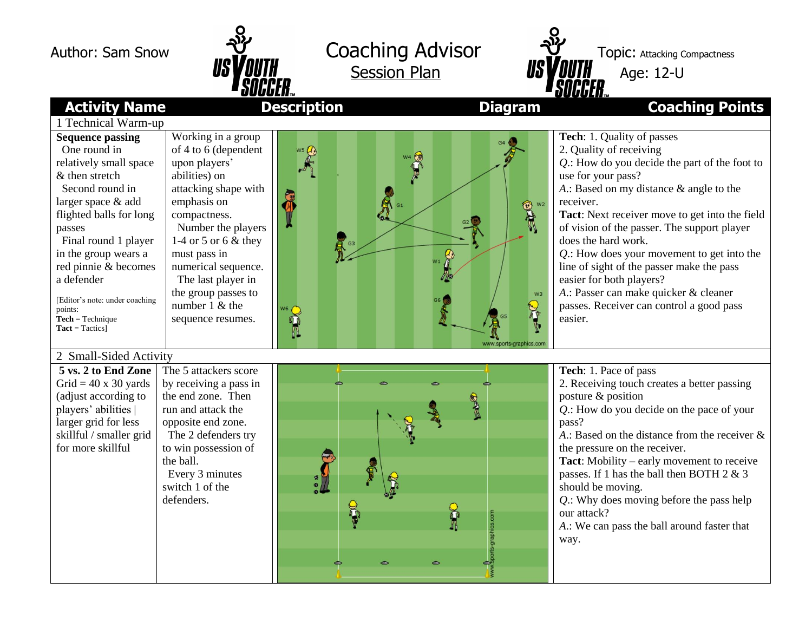



## **Activity Name Description Diagram Coaching Points**

| 1 Technical Warm-up                                                                                                                                                                                                                                                                                                                                                |                                                                                                                                                                                                                                                                                                                    |                                                                                                      |                                                                                                                                                                                                                                                                                                                                                                                                                                                                                                                                        |
|--------------------------------------------------------------------------------------------------------------------------------------------------------------------------------------------------------------------------------------------------------------------------------------------------------------------------------------------------------------------|--------------------------------------------------------------------------------------------------------------------------------------------------------------------------------------------------------------------------------------------------------------------------------------------------------------------|------------------------------------------------------------------------------------------------------|----------------------------------------------------------------------------------------------------------------------------------------------------------------------------------------------------------------------------------------------------------------------------------------------------------------------------------------------------------------------------------------------------------------------------------------------------------------------------------------------------------------------------------------|
| <b>Sequence passing</b><br>One round in<br>relatively small space<br>& then stretch<br>Second round in<br>larger space & add<br>flighted balls for long<br>passes<br>Final round 1 player<br>in the group wears a<br>red pinnie & becomes<br>a defender<br>[Editor's note: under coaching<br>points:<br>$\textbf{Technique}$<br>$\textbf{Tact} = \textbf{Tactics}$ | Working in a group<br>of 4 to 6 (dependent<br>upon players'<br>abilities) on<br>attacking shape with<br>emphasis on<br>compactness.<br>Number the players<br>1-4 or 5 or 6 $\&$ they<br>must pass in<br>numerical sequence.<br>The last player in<br>the group passes to<br>number $1 \&$ the<br>sequence resumes. | $\sum_{k=1}^{\infty}$<br>"<br>$\mathbf{R}$ $^{63}$<br>W <sub>3</sub><br><b>See</b><br>www.sports-gra | Tech: 1. Quality of passes<br>2. Quality of receiving<br>Q.: How do you decide the part of the foot to<br>use for your pass?<br>A.: Based on my distance & angle to the<br>receiver.<br>Tact: Next receiver move to get into the field<br>of vision of the passer. The support player<br>does the hard work.<br>$Q$ .: How does your movement to get into the<br>line of sight of the passer make the pass<br>easier for both players?<br>A.: Passer can make quicker & cleaner<br>passes. Receiver can control a good pass<br>easier. |
| 2 Small-Sided Activity<br>5 vs. 2 to End Zone<br>Grid = $40 \times 30$ yards<br>(adjust according to<br>players' abilities  <br>larger grid for less<br>skillful / smaller grid<br>for more skillful                                                                                                                                                               | The 5 attackers score<br>by receiving a pass in<br>the end zone. Then<br>run and attack the<br>opposite end zone.<br>The 2 defenders try<br>to win possession of<br>the ball.<br>Every 3 minutes<br>switch 1 of the<br>defenders.                                                                                  | 343<br>DC                                                                                            | Tech: 1. Pace of pass<br>2. Receiving touch creates a better passing<br>posture & position<br>Q.: How do you decide on the pace of your<br>pass?<br>A.: Based on the distance from the receiver $\&$<br>the pressure on the receiver.<br><b>Tact:</b> Mobility – early movement to receive<br>passes. If 1 has the ball then BOTH 2 & 3<br>should be moving.<br>$Q$ .: Why does moving before the pass help<br>our attack?<br>A.: We can pass the ball around faster that<br>way.                                                      |

v.<br>Sports-gra

 $\bullet$